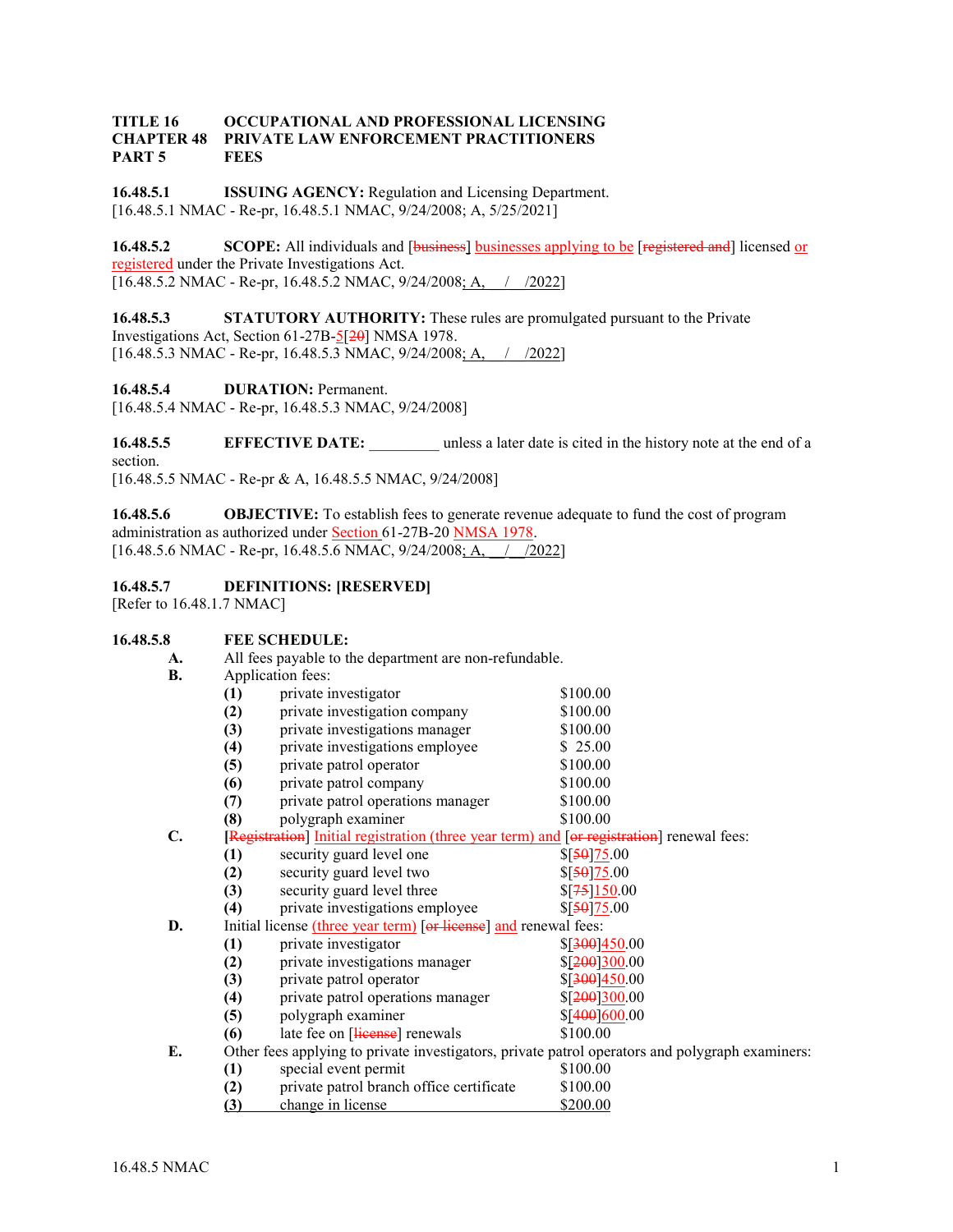## **TITLE 16 OCCUPATIONAL AND PROFESSIONAL LICENSING CHAPTER 48 PRIVATE LAW ENFORCEMENT PRACTITIONERS PART 5 FEES**

**16.48.5.1 ISSUING AGENCY:** Regulation and Licensing Department. [16.48.5.1 NMAC - Re-pr, 16.48.5.1 NMAC, 9/24/2008; A, 5/25/2021]

**16.48.5.2 SCOPE:** All individuals and [businesses] businesses applying to be [registered and] licensed or registered under the Private Investigations Act. [16.48.5.2 NMAC - Re-pr, 16.48.5.2 NMAC, 9/24/2008; A,  $\left| \right|$  /2022]

**16.48.5.3 STATUTORY AUTHORITY:** These rules are promulgated pursuant to the Private Investigations Act, Section 61-27B-5[20] NMSA 1978. [16.48.5.3 NMAC - Re-pr, 16.48.5.3 NMAC, 9/24/2008; A,  $\left| \right|$  /2022]

**16.48.5.4 DURATION:** Permanent. [16.48.5.4 NMAC - Re-pr, 16.48.5.3 NMAC, 9/24/2008]

**16.48.5.5 EFFECTIVE DATE:** unless a later date is cited in the history note at the end of a section. [16.48.5.5 NMAC - Re-pr & A, 16.48.5.5 NMAC, 9/24/2008]

**16.48.5.6 OBJECTIVE:** To establish fees to generate revenue adequate to fund the cost of program administration as authorized under **Section 61-27B-20 NMSA 1978**. [16.48.5.6 NMAC - Re-pr, 16.48.5.6 NMAC, 9/24/2008; A,  $\left( \frac{\sqrt{2022}}{\sqrt{2022}} \right)$ 

**16.48.5.7 DEFINITIONS: [RESERVED]**

[Refer to 16.48.1.7 NMAC]

# **16.48.5.8 FEE SCHEDULE:**

**A.** All fees payable to the department are non-refundable.<br>**R.** Annlication fees:

**B.** Application fees:

| D. | Application rees.                                                                               |                                          |                         |
|----|-------------------------------------------------------------------------------------------------|------------------------------------------|-------------------------|
|    | (1)                                                                                             | private investigator                     | \$100.00                |
|    | (2)                                                                                             | private investigation company            | \$100.00                |
|    | (3)                                                                                             | private investigations manager           | \$100.00                |
|    | (4)                                                                                             | private investigations employee          | \$25.00                 |
|    | (5)                                                                                             | private patrol operator                  | \$100.00                |
|    | (6)                                                                                             | private patrol company                   | \$100.00                |
|    | (7)                                                                                             | private patrol operations manager        | \$100.00                |
|    | (8)                                                                                             | polygraph examiner                       | \$100.00                |
| C. | [Registration] Initial registration (three year term) and [or registration] renewal fees:       |                                          |                         |
|    | (1)                                                                                             | security guard level one                 | $\frac{$50]25.00}{50}$  |
|    | (2)                                                                                             | security guard level two                 | $\frac{$50 75.00}{2}$   |
|    | (3)                                                                                             | security guard level three               | $\frac{$75}{150.00}$    |
|    | (4)                                                                                             | private investigations employee          | \$[50]75.00             |
| D. | Initial license (three year term) [or license] and renewal fees:                                |                                          |                         |
|    | (1)                                                                                             | private investigator                     | \$[300]450.00           |
|    | (2)                                                                                             | private investigations manager           | \$[200]300.00           |
|    | (3)                                                                                             | private patrol operator                  | $$[\frac{300}{450}.00]$ |
|    | (4)                                                                                             | private patrol operations manager        | \$[200]300.00           |
|    | (5)                                                                                             | polygraph examiner                       | \$[400]600.00           |
|    | (6)                                                                                             | late fee on [license] renewals           | \$100.00                |
| E. | Other fees applying to private investigators, private patrol operators and polygraph examiners: |                                          |                         |
|    | (1)                                                                                             | special event permit                     | \$100.00                |
|    | (2)                                                                                             | private patrol branch office certificate | \$100.00                |

**(3)** change in license \$200.00